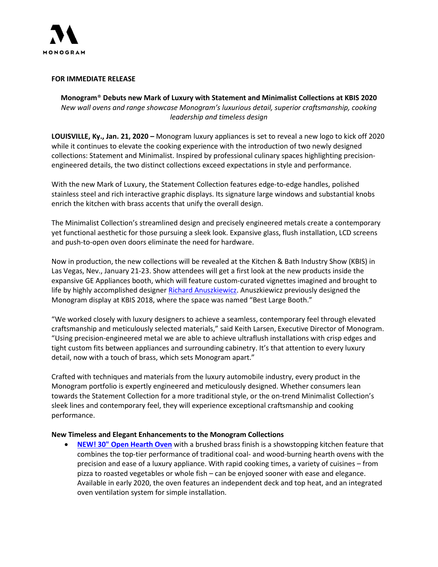

## **FOR IMMEDIATE RELEASE**

**Monogram**® **Debuts new Mark of Luxury with Statement and Minimalist Collections at KBIS 2020** *New wall ovens and range showcase Monogram's luxurious detail, superior craftsmanship, cooking leadership and timeless design* 

**LOUISVILLE, Ky., Jan. 21, 2020 –** Monogram luxury appliances is set to reveal a new logo to kick off 2020 while it continues to elevate the cooking experience with the introduction of two newly designed collections: Statement and Minimalist. Inspired by professional culinary spaces highlighting precisionengineered details, the two distinct collections exceed expectations in style and performance.

With the new Mark of Luxury, the Statement Collection features edge-to-edge handles, polished stainless steel and rich interactive graphic displays. Its signature large windows and substantial knobs enrich the kitchen with brass accents that unify the overall design.

The Minimalist Collection's streamlined design and precisely engineered metals create a contemporary yet functional aesthetic for those pursuing a sleek look. Expansive glass, flush installation, LCD screens and push-to-open oven doors eliminate the need for hardware.

Now in production, the new collections will be revealed at the Kitchen & Bath Industry Show (KBIS) in Las Vegas, Nev., January 21-23. Show attendees will get a first look at the new products inside the expansive GE Appliances booth, which will feature custom-curated vignettes imagined and brought to life by highly accomplished designer Richard [Anuszkiewicz.](http://richarda2z.com/) Anuszkiewicz previously designed the Monogram display at KBIS 2018, where the space was named "Best Large Booth."

"We worked closely with luxury designers to achieve a seamless, contemporary feel through elevated craftsmanship and meticulously selected materials," said Keith Larsen, Executive Director of Monogram. "Using precision-engineered metal we are able to achieve ultraflush installations with crisp edges and tight custom fits between appliances and surrounding cabinetry. It's that attention to every luxury detail, now with a touch of brass, which sets Monogram apart."

Crafted with techniques and materials from the luxury automobile industry, every product in the Monogram portfolio is expertly engineered and meticulously designed. Whether consumers lean towards the Statement Collection for a more traditional style, or the on-trend Minimalist Collection's sleek lines and contemporary feel, they will experience exceptional craftsmanship and cooking performance.

## **New Timeless and Elegant Enhancements to the Monogram Collections**

• **[NEW! 30" Open Hearth Oven](https://appliances.monogram.com/us/specs/ZEP30SKSS)** with a brushed brass finish is a showstopping kitchen feature that combines the top-tier performance of traditional coal- and wood-burning hearth ovens with the precision and ease of a luxury appliance. With rapid cooking times, a variety of cuisines – from pizza to roasted vegetables or whole fish – can be enjoyed sooner with ease and elegance. Available in early 2020, the oven features an independent deck and top heat, and an integrated oven ventilation system for simple installation.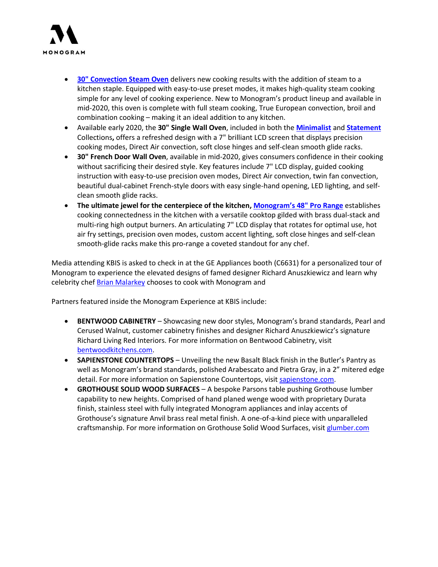

- **[30" Convection Steam Oven](https://appliances.monogram.com/us/specs/ZMB9032SNSS)** delivers new cooking results with the addition of steam to a kitchen staple. Equipped with easy-to-use preset modes, it makes high-quality steam cooking simple for any level of cooking experience. New to Monogram's product lineup and available in mid-2020, this oven is complete with full steam cooking, True European convection, broil and combination cooking – making it an ideal addition to any kitchen.
- Available early 2020, the **30" Single Wall Oven**, included in both the **[Minimalist](https://appliances.monogram.com/us/specs/ZTS90DSSNSS)** and **[Statement](https://appliances.monogram.com/us/specs/ZTS90DPSNSS)** Collections**,** offers a refreshed design with a 7" brilliant LCD screen that displays precision cooking modes, Direct Air convection, soft close hinges and self-clean smooth glide racks.
- **30" French Door Wall Oven**, available in mid-2020, gives consumers confidence in their cooking without sacrificing their desired style. Key features include 7" LCD display, guided cooking instruction with easy-to-use precision oven modes, Direct Air convection, twin fan convection, beautiful dual-cabinet French-style doors with easy single-hand opening, LED lighting, and selfclean smooth glide racks.
- **The ultimate jewel for the centerpiece of the kitchen, Monogram's [48" Pro Range](https://appliances.monogram.com/us/specs/ZDP484NGNSS#specifications-and-files)** establishes cooking connectedness in the kitchen with a versatile cooktop gilded with brass dual-stack and multi-ring high output burners. An articulating 7" LCD display that rotates for optimal use, hot air fry settings, precision oven modes, custom accent lighting, soft close hinges and self-clean smooth-glide racks make this pro-range a coveted standout for any chef.

Media attending KBIS is asked to check in at the GE Appliances booth (C6631) for a personalized tour of Monogram to experience the elevated designs of famed designer Richard Anuszkiewicz and learn why celebrity chef [Brian Malarkey](http://brianmalarkey.com/) chooses to cook with Monogram and

Partners featured inside the Monogram Experience at KBIS include:

- **BENTWOOD CABINETRY** Showcasing new door styles, Monogram's brand standards, Pearl and Cerused Walnut, customer cabinetry finishes and designer Richard Anuszkiewicz's signature Richard Living Red Interiors. For more information on Bentwood Cabinetry, visit [bentwoodkitchens.com.](http://www.bentwoodkitchens.com/)
- **SAPIENSTONE COUNTERTOPS** Unveiling the new Basalt Black finish in the Butler's Pantry as well as Monogram's brand standards, polished Arabescato and Pietra Gray, in a 2" mitered edge detail. For more information on Sapienstone Countertops, visit [sapienstone.com.](https://www.sapienstone.com/)
- **GROTHOUSE SOLID WOOD SURFACES** A bespoke Parsons table pushing Grothouse lumber capability to new heights. Comprised of hand planed wenge wood with proprietary Durata finish, stainless steel with fully integrated Monogram appliances and inlay accents of Grothouse's signature Anvil brass real metal finish. A one-of-a-kind piece with unparalleled craftsmanship. For more information on Grothouse Solid Wood Surfaces, visit [glumber.com](https://www.glumber.com/)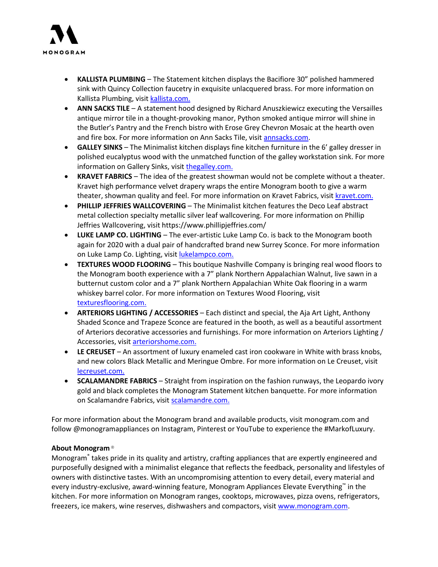

- **KALLISTA PLUMBING** The Statement kitchen displays the Bacifiore 30" polished hammered sink with Quincy Collection faucetry in exquisite unlacquered brass. For more information on Kallista Plumbing, visit [kallista.com.](https://www.kallista.com/)
- **ANN SACKS TILE** A statement hood designed by Richard Anuszkiewicz executing the Versailles antique mirror tile in a thought‐provoking manor, Python smoked antique mirror will shine in the Butler's Pantry and the French bistro with Erose Grey Chevron Mosaic at the hearth oven and fire box. For more information on Ann Sacks Tile, visi[t annsacks.com.](https://www.annsacks.com/)
- **GALLEY SINKS** The Minimalist kitchen displays fine kitchen furniture in the 6' galley dresser in polished eucalyptus wood with the unmatched function of the galley workstation sink. For more information on Gallery Sinks, visit [thegalley.com.](https://thegalley.com/)
- **KRAVET FABRICS** The idea of the greatest showman would not be complete without a theater. Kravet high performance velvet drapery wraps the entire Monogram booth to give a warm theater, showman quality and feel. For more information on Kravet Fabrics, visit [kravet.com.](https://www.kravet.com/)
- **PHILLIP JEFFRIES WALLCOVERING** The Minimalist kitchen features the Deco Leaf abstract metal collection specialty metallic silver leaf wallcovering. For more information on Phillip Jeffries Wallcovering, visit https://www.phillipjeffries.com/
- **LUKE LAMP CO. LIGHTING**  The ever‐artistic Luke Lamp Co. is back to the Monogram booth again for 2020 with a dual pair of handcrafted brand new Surrey Sconce. For more information on Luke Lamp Co. Lighting, visit [lukelampco.com.](http://www.lukelampco.com/)
- **TEXTURES WOOD FLOORING** This boutique Nashville Company is bringing real wood floors to the Monogram booth experience with a 7" plank Northern Appalachian Walnut, live sawn in a butternut custom color and a 7" plank Northern Appalachian White Oak flooring in a warm whiskey barrel color. For more information on Textures Wood Flooring, visit [texturesflooring.com.](https://texturesflooring.com/)
- **ARTERIORS LIGHTING / ACCESSORIES** Each distinct and special, the Aja Art Light, Anthony Shaded Sconce and Trapeze Sconce are featured in the booth, as well as a beautiful assortment of Arteriors decorative accessories and furnishings. For more information on Arteriors Lighting / Accessories, visit [arteriorshome.com.](https://www.arteriorshome.com/)
- **LE CREUSET** An assortment of luxury enameled cast iron cookware in White with brass knobs, and new colors Black Metallic and Meringue Ombre. For more information on Le Creuset, visit [lecreuset.com.](https://www.lecreuset.com/)
- **SCALAMANDRE FABRICS** Straight from inspiration on the fashion runways, the Leopardo ivory gold and black completes the Monogram Statement kitchen banquette. For more information on Scalamandre Fabrics, visit [scalamandre.com.](https://www.scalamandre.com/)

For more information about the Monogram brand and available products, visit monogram.com and follow @monogramappliances on Instagram, Pinterest or YouTube to experience the #MarkofLuxury.

## **About Monogram ®**

Monogram® takes pride in its quality and artistry, crafting appliances that are expertly engineered and purposefully designed with a minimalist elegance that reflects the feedback, personality and lifestyles of owners with distinctive tastes. With an uncompromising attention to every detail, every material and every industry-exclusive, award-winning feature, Monogram Appliances Elevate Everything™ in the kitchen. For more information on Monogram ranges, cooktops, microwaves, pizza ovens, refrigerators, freezers, ice makers, wine reserves, dishwashers and compactors, visit [www.monogram.com.](http://www.monogram.com/)